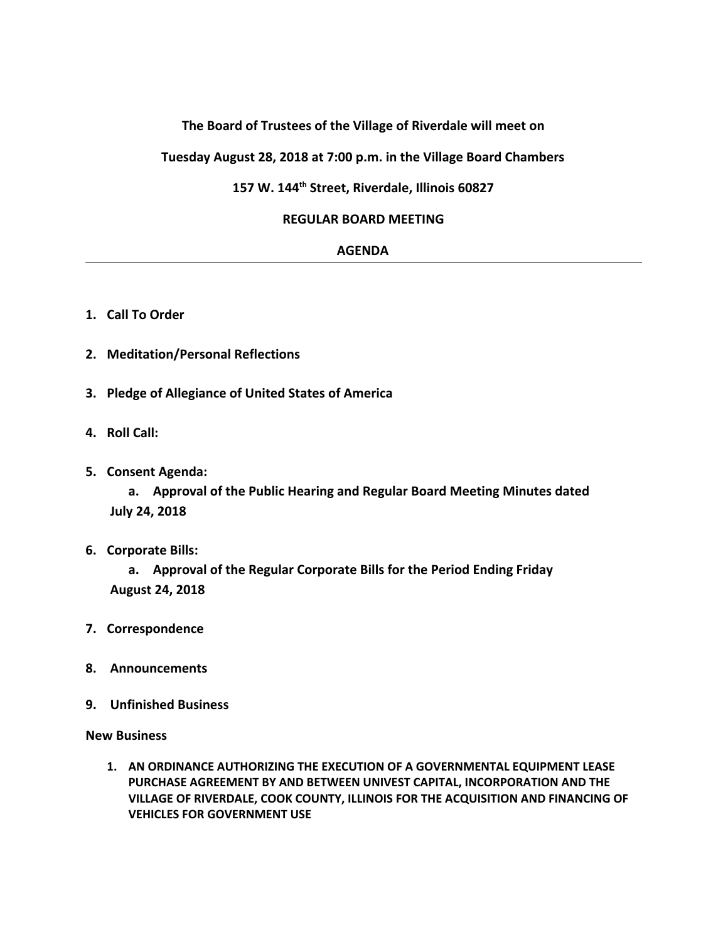## **The Board of Trustees of the Village of Riverdale will meet on**

**Tuesday August 28, 2018 at 7:00 p.m. in the Village Board Chambers**

# **157 W. 144 th Street, Riverdale, Illinois 60827**

#### **REGULAR BOARD MEETING**

#### **AGENDA**

- **1. Call To Order**
- **2. Meditation/Personal Reflections**
- **3. Pledge of Allegiance of United States of America**
- **4. Roll Call:**
- **5. Consent Agenda:**

**a. Approval of the Public Hearing and Regular Board Meeting Minutes dated July 24, 2018**

**6. Corporate Bills:**

**a. Approval of the Regular Corporate Bills for the Period Ending Friday August 24, 2018**

- **7. Correspondence**
- **8. Announcements**
- **9. Unfinished Business**

**New Business**

**1. AN ORDINANCE AUTHORIZING THE EXECUTION OF A GOVERNMENTAL EQUIPMENT LEASE PURCHASE AGREEMENT BY AND BETWEEN UNIVEST CAPITAL, INCORPORATION AND THE VILLAGE OF RIVERDALE, COOK COUNTY, ILLINOIS FOR THE ACQUISITION AND FINANCING OF VEHICLES FOR GOVERNMENT USE**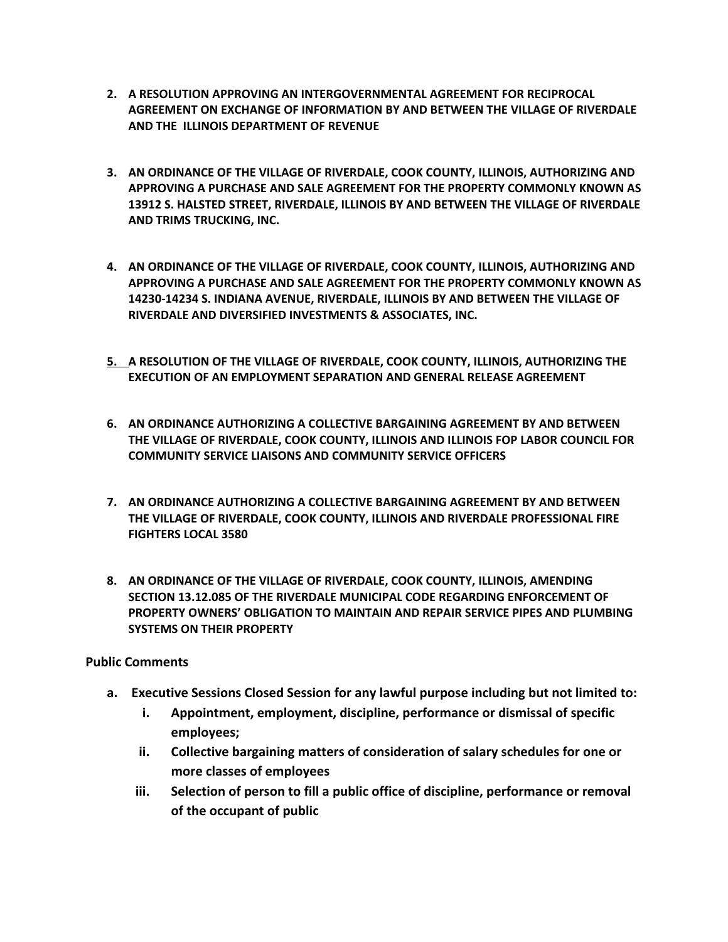- **2. A RESOLUTION APPROVING AN INTERGOVERNMENTAL AGREEMENT FOR RECIPROCAL AGREEMENT ON EXCHANGE OF INFORMATION BY AND BETWEEN THE VILLAGE OF RIVERDALE AND THE ILLINOIS DEPARTMENT OF REVENUE**
- **3. AN ORDINANCE OF THE VILLAGE OF RIVERDALE, COOK COUNTY, ILLINOIS, AUTHORIZING AND APPROVING A PURCHASE AND SALE AGREEMENT FOR THE PROPERTY COMMONLY KNOWN AS 13912 S. HALSTED STREET, RIVERDALE, ILLINOIS BY AND BETWEEN THE VILLAGE OF RIVERDALE AND TRIMS TRUCKING, INC.**
- **4. AN ORDINANCE OF THE VILLAGE OF RIVERDALE, COOK COUNTY, ILLINOIS, AUTHORIZING AND APPROVING A PURCHASE AND SALE AGREEMENT FOR THE PROPERTY COMMONLY KNOWN AS 14230-14234 S. INDIANA AVENUE, RIVERDALE, ILLINOIS BY AND BETWEEN THE VILLAGE OF RIVERDALE AND DIVERSIFIED INVESTMENTS & ASSOCIATES, INC.**
- **5. A RESOLUTION OF THE VILLAGE OF RIVERDALE, COOK COUNTY, ILLINOIS, AUTHORIZING THE EXECUTION OF AN EMPLOYMENT SEPARATION AND GENERAL RELEASE AGREEMENT**
- **6. AN ORDINANCE AUTHORIZING A COLLECTIVE BARGAINING AGREEMENT BY AND BETWEEN THE VILLAGE OF RIVERDALE, COOK COUNTY, ILLINOIS AND ILLINOIS FOP LABOR COUNCIL FOR COMMUNITY SERVICE LIAISONS AND COMMUNITY SERVICE OFFICERS**
- **7. AN ORDINANCE AUTHORIZING A COLLECTIVE BARGAINING AGREEMENT BY AND BETWEEN THE VILLAGE OF RIVERDALE, COOK COUNTY, ILLINOIS AND RIVERDALE PROFESSIONAL FIRE FIGHTERS LOCAL 3580**
- **8. AN ORDINANCE OF THE VILLAGE OF RIVERDALE, COOK COUNTY, ILLINOIS, AMENDING SECTION 13.12.085 OF THE RIVERDALE MUNICIPAL CODE REGARDING ENFORCEMENT OF PROPERTY OWNERS' OBLIGATION TO MAINTAIN AND REPAIR SERVICE PIPES AND PLUMBING SYSTEMS ON THEIR PROPERTY**

### **Public Comments**

- **a. Executive Sessions Closed Session for any lawful purpose including but not limited to:**
	- **i. Appointment, employment, discipline, performance or dismissal of specific employees;**
	- **ii. Collective bargaining matters of consideration of salary schedules for one or more classes of employees**
	- **iii. Selection of person to fill a public office of discipline, performance or removal of the occupant of public**